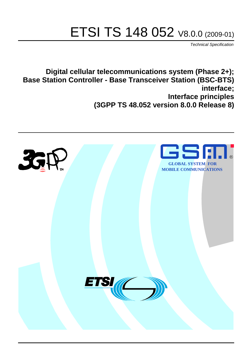# ETSI TS 148 052 V8.0.0 (2009-01)

*Technical Specification*

**Digital cellular telecommunications system (Phase 2+); Base Station Controller - Base Transceiver Station (BSC-BTS) interface; Interface principles (3GPP TS 48.052 version 8.0.0 Release 8)**

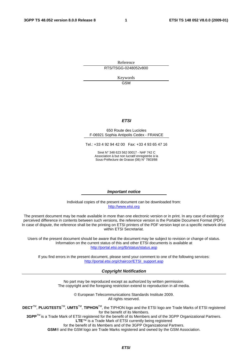Reference RTS/TSGG-0248052v800

> Keywords GSM

#### *ETSI*

#### 650 Route des Lucioles F-06921 Sophia Antipolis Cedex - FRANCE

Tel.: +33 4 92 94 42 00 Fax: +33 4 93 65 47 16

Siret N° 348 623 562 00017 - NAF 742 C Association à but non lucratif enregistrée à la Sous-Préfecture de Grasse (06) N° 7803/88

#### *Important notice*

Individual copies of the present document can be downloaded from: [http://www.etsi.org](http://www.etsi.org/)

The present document may be made available in more than one electronic version or in print. In any case of existing or perceived difference in contents between such versions, the reference version is the Portable Document Format (PDF). In case of dispute, the reference shall be the printing on ETSI printers of the PDF version kept on a specific network drive within ETSI Secretariat.

Users of the present document should be aware that the document may be subject to revision or change of status. Information on the current status of this and other ETSI documents is available at <http://portal.etsi.org/tb/status/status.asp>

If you find errors in the present document, please send your comment to one of the following services: [http://portal.etsi.org/chaircor/ETSI\\_support.asp](http://portal.etsi.org/chaircor/ETSI_support.asp)

#### *Copyright Notification*

No part may be reproduced except as authorized by written permission. The copyright and the foregoing restriction extend to reproduction in all media.

> © European Telecommunications Standards Institute 2009. All rights reserved.

**DECT**TM, **PLUGTESTS**TM, **UMTS**TM, **TIPHON**TM, the TIPHON logo and the ETSI logo are Trade Marks of ETSI registered for the benefit of its Members.

**3GPP**TM is a Trade Mark of ETSI registered for the benefit of its Members and of the 3GPP Organizational Partners. **LTE**™ is a Trade Mark of ETSI currently being registered

for the benefit of its Members and of the 3GPP Organizational Partners.

**GSM**® and the GSM logo are Trade Marks registered and owned by the GSM Association.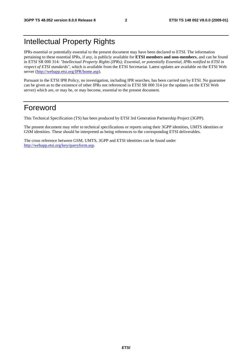### Intellectual Property Rights

IPRs essential or potentially essential to the present document may have been declared to ETSI. The information pertaining to these essential IPRs, if any, is publicly available for **ETSI members and non-members**, and can be found in ETSI SR 000 314: *"Intellectual Property Rights (IPRs); Essential, or potentially Essential, IPRs notified to ETSI in respect of ETSI standards"*, which is available from the ETSI Secretariat. Latest updates are available on the ETSI Web server ([http://webapp.etsi.org/IPR/home.asp\)](http://webapp.etsi.org/IPR/home.asp).

Pursuant to the ETSI IPR Policy, no investigation, including IPR searches, has been carried out by ETSI. No guarantee can be given as to the existence of other IPRs not referenced in ETSI SR 000 314 (or the updates on the ETSI Web server) which are, or may be, or may become, essential to the present document.

### Foreword

This Technical Specification (TS) has been produced by ETSI 3rd Generation Partnership Project (3GPP).

The present document may refer to technical specifications or reports using their 3GPP identities, UMTS identities or GSM identities. These should be interpreted as being references to the corresponding ETSI deliverables.

The cross reference between GSM, UMTS, 3GPP and ETSI identities can be found under [http://webapp.etsi.org/key/queryform.asp.](http://webapp.etsi.org/key/queryform.asp)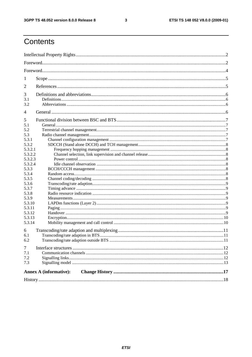#### $\mathbf{3}$

### Contents

| 1              |                               |  |  |  |
|----------------|-------------------------------|--|--|--|
| 2              |                               |  |  |  |
| 3              |                               |  |  |  |
| 3.1            |                               |  |  |  |
| 3.2            |                               |  |  |  |
| 4              |                               |  |  |  |
| 5              |                               |  |  |  |
| 5.1            |                               |  |  |  |
| 5.2            |                               |  |  |  |
| 5.3            |                               |  |  |  |
| 5.3.1<br>5.3.2 |                               |  |  |  |
| 5.3.2.1        |                               |  |  |  |
| 5.3.2.2        |                               |  |  |  |
| 5.3.2.3        |                               |  |  |  |
| 5.3.2.4        |                               |  |  |  |
| 5.3.3          |                               |  |  |  |
| 5.3.4          |                               |  |  |  |
| 5.3.5          |                               |  |  |  |
| 5.3.6          |                               |  |  |  |
| 5.3.7          |                               |  |  |  |
| 5.3.8          |                               |  |  |  |
| 5.3.9          |                               |  |  |  |
| 5.3.10         |                               |  |  |  |
| 5.3.11         |                               |  |  |  |
| 5.3.12         |                               |  |  |  |
| 5.3.13         |                               |  |  |  |
| 5.3.14         |                               |  |  |  |
| 6              |                               |  |  |  |
| 6.1            |                               |  |  |  |
| 6.2            |                               |  |  |  |
| $\tau$         |                               |  |  |  |
| 7.1            |                               |  |  |  |
| 7.2            |                               |  |  |  |
| 7.3            |                               |  |  |  |
|                | <b>Annex A (informative):</b> |  |  |  |
|                |                               |  |  |  |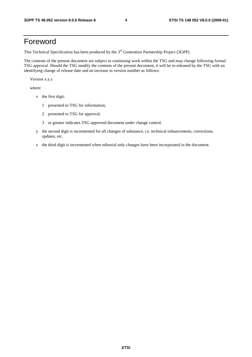### Foreword

This Technical Specification has been produced by the 3<sup>rd</sup> Generation Partnership Project (3GPP).

The contents of the present document are subject to continuing work within the TSG and may change following formal TSG approval. Should the TSG modify the contents of the present document, it will be re-released by the TSG with an identifying change of release date and an increase in version number as follows:

Version x.y.z

where:

- x the first digit:
	- 1 presented to TSG for information;
	- 2 presented to TSG for approval;
	- 3 or greater indicates TSG approved document under change control.
- y the second digit is incremented for all changes of substance, i.e. technical enhancements, corrections, updates, etc.
- z the third digit is incremented when editorial only changes have been incorporated in the document.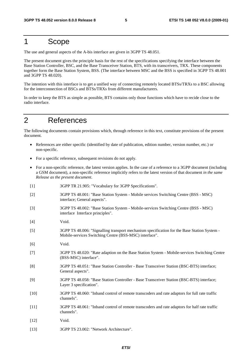### 1 Scope

The use and general aspects of the A-bis interface are given in 3GPP TS 48.051.

The present document gives the principle basis for the rest of the specifications specifying the interface between the Base Station Controller, BSC, and the Base Transceiver Station, BTS, with its transceivers, TRX. These components together form the Base Station System, BSS. (The interface between MSC and the BSS is specified in 3GPP TS 48.001 and 3GPP TS 48.020).

The intention with this interface is to get a unified way of connecting remotely located BTSs/TRXs to a BSC allowing for the interconnection of BSCs and BTSs/TRXs from different manufacturers.

In order to keep the BTS as simple as possible, BTS contains only those functions which have to recide close to the radio interface.

### 2 References

The following documents contain provisions which, through reference in this text, constitute provisions of the present document.

- References are either specific (identified by date of publication, edition number, version number, etc.) or non-specific.
- For a specific reference, subsequent revisions do not apply.
- For a non-specific reference, the latest version applies. In the case of a reference to a 3GPP document (including a GSM document), a non-specific reference implicitly refers to the latest version of that document *in the same Release as the present document*.
- [1] 3GPP TR 21.905: "Vocabulary for 3GPP Specifications".
- [2] 3GPP TS 48.001: "Base Station System Mobile services Switching Centre (BSS MSC) interface; General aspects".
- [3] 3GPP TS 48.002: "Base Station System Mobile-services Switching Centre (BSS MSC) interface Interface principles".
- [4] Void.
- [5] 3GPP TS 48.006: "Signalling transport mechanism specification for the Base Station System Mobile-services Switching Centre (BSS-MSC) interface".
- [6] Void.
- [7] 3GPP TS 48.020: "Rate adaption on the Base Station System Mobile-services Switching Centre (BSS-MSC) interface".
- [8] 3GPP TS 48.051: "Base Station Controller Base Transceiver Station (BSC-BTS) interface; General aspects".
- [9] 3GPP TS 48.058: "Base Station Controller Base Transceiver Station (BSC-BTS) interface; Layer 3 specification".
- [10] 3GPP TS 48.060: "Inband control of remote transcoders and rate adaptors for full rate traffic channels".
- [11] 3GPP TS 48.061: "Inband control of remote transcoders and rate adaptors for half rate traffic channels".
- [12] **Void.**
- [13] 3GPP TS 23.002: "Network Architecture".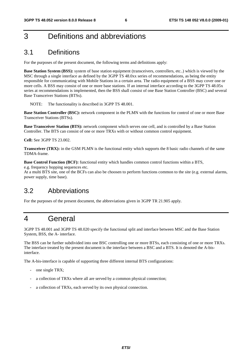### 3 Definitions and abbreviations

### 3.1 Definitions

For the purposes of the present document, the following terms and definitions apply:

**Base Station System (BSS):** system of base station equipment (transceivers, controllers, etc..) which is viewed by the MSC through a single interface as defined by the 3GPP TS 48.0xx series of recommendations, as being the entity responsible for communicating with Mobile Stations in a certain area. The radio equipment of a BSS may cover one or more cells. A BSS may consist of one or more base stations. If an internal interface according to the 3GPP TS 48.05x series at recommendations is implemented, then the BSS shall consist of one Base Station Controller (BSC) and several Base Transceiver Stations (BTSs).

NOTE: The functionality is described in 3GPP TS 48.001.

**Base Station Controller (BSC):** network component in the PLMN with the functions for control of one or more Base Transceiver Stations (BTSs).

**Base Transceiver Station (BTS):** network component which serves one cell, and is controlled by a Base Station Controller. The BTS can consist of one or more TRXs with or without common control equipment.

**Cell:** See 3GPP TS 23.002.

**Transceiver (TRX):** in the GSM PLMN is the functional entity which supports the 8 basic radio channels of the same TDMA-frame.

**Base Control Function (BCF):** functional entity which handles common control functions within a BTS, e.g. frequency hopping sequences etc.

At a multi BTS site, one of the BCFs can also be choosen to perform functions common to the site (e.g. external alarms, power supply, time base).

### 3.2 Abbreviations

For the purposes of the present document, the abbreviations given in 3GPP TR 21.905 apply.

### 4 General

3GPP TS 48.001 and 3GPP TS 48.020 specify the functional split and interface between MSC and the Base Station System, BSS, the A- interface.

The BSS can be further subdivided into one BSC controlling one or more BTSs, each consisting of one or more TRXs. The interface treated by the present document is the interface between a BSC and a BTS. It is denoted the A-bisinterface.

The A-bis-interface is capable of supporting three different internal BTS configurations:

- one single TRX;
- a collection of TRXs where all are served by a common physical connection;
- a collection of TRXs, each served by its own physical connection.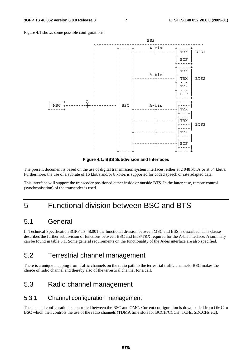Figure 4.1 shows some possible configurations.



**Figure 4.1: BSS Subdivision and Interfaces** 

The present document is based on the use of digital transmission system interfaces, either at 2 048 kbit/s or at 64 kbit/s. Furthermore, the use of a subrate of 16 kbit/s and/or 8 kbit/s is supported for coded speech or rate adapted data.

This interface will support the transcoder positioned either inside or outside BTS. In the latter case, remote control (synchronisation) of the transcoder is used.

### 5 Functional division between BSC and BTS

#### 5.1 General

In Technical Specification 3GPP TS 48.001 the functional division between MSC and BSS is described. This clause describes the further subdivision of functions between BSC and BTS/TRX required for the A-bis interface. A summary can be found in table 5.1. Some general requirements on the functionality of the A-bis interface are also specified.

### 5.2 Terrestrial channel management

There is a unique mapping from traffic channels on the radio path to the terrestrial traffic channels. BSC makes the choice of radio channel and thereby also of the terrestrial channel for a call.

### 5.3 Radio channel management

#### 5.3.1 Channel configuration management

The channel configuration is controlled between the BSC and OMC. Current configuration is downloaded from OMC to BSC which then controls the use of the radio channels (TDMA time slots for BCCH/CCCH, TCHs, SDCCHs etc).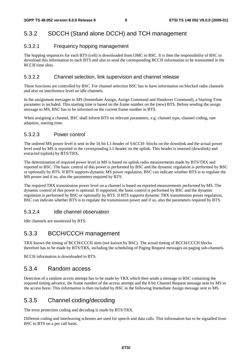#### 5.3.2 SDCCH (Stand alone DCCH) and TCH management

#### 5.3.2.1 Frequency hopping management

The hopping sequences for each BTS (cell) is downloaded from OMC to BSC. It is then the responsibility of BSC to download this information to each BTS and also to send the corresponding BCCH information to be transmitted in the BCCH time slots.

#### 5.3.2.2 Channel selection, link supervision and channel release

These functions are controlled by BSC. For channel selection BSC has to have information on blocked radio channels and also on interference level on idle channels.

In the assignment messages to MS (Immediate Assign, Assign Command and Handover Command), a Starting Time parameter is included. This starting time is based on the frame number on the (new) BTS. Before sending the assign message to MS, BSC has to be informed on the current frame number in BTS.

When assigning a channel, BSC shall inform BTS on relevant parameters, e.g. channel type, channel coding, rate adaption, starting time.

#### 5.3.2.3 Power control

The ordered MS power level is sent in the 16 bit L1-header of SACCH- blocks on the downlink and the actual power level used by MS is reported in the corresponding L1-header on the uplink. This header is inserted (downlink) and extracted (uplink) by BTS/TRX.

The determination of required power level in MS is based on uplink radio measurements made by BTS/TRX and reported to BSC. The basic control of this power is performed by BSC and the dynamic regulation is performed by BSC or optionally by BTS. If BTS supports dynamic MS power regulation, BSC can indicate whether BTS is to regulate the MS power and if so, also the parameters required by BTS.

The required TRX transmission power level on a channel is based on reported measurements performed by MS. The dynamic control of this power is optional. If supported, the basic control is performed by BSC and the dynamic regulation is performed by BSC or optionally by BTS. If BTS supports dynamic TRX transmission power regulation, BSC can indicate whether BTS is to regulate the transmission power and if so, also the parameters required by BTS.

#### 5.3.2.4 Idle channel observation

Idle channels are monitored by BTS.

#### 5.3.3 BCCH/CCCH management

TRX knows the timing of BCCH/CCCH slots (not known by BSC). The actual timing of BCCH/CCCH blocks therefore has to be made by BTS/TRX, including the scheduling of Paging Request messages on paging sub-channels.

BCCH information is downloaded to BTS.

#### 5.3.4 Random access

Detection of a random access attempt has to be made by TRX which then sends a message to BSC containing the required timing advance, the frame number of the access attempt and the 8 bit Channel Request message sent by MS in the access burst. This information is then included by BSC in the following Immediate Assign message sent to MS.

#### 5.3.5 Channel coding/decoding

The error protection coding and decoding is made by BTS/TRX.

Different coding and interleaving schemes are used for speech and data calls. This information has to be signalled from BSC to BTS on a per call basis.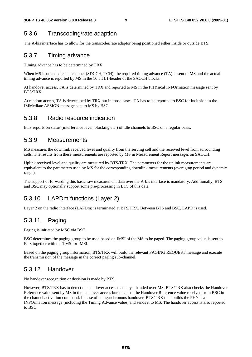#### 5.3.6 Transcoding/rate adaption

The A-bis interface has to allow for the transcoder/rate adaptor being positioned either inside or outside BTS.

#### 5.3.7 Timing advance

Timing advance has to be determined by TRX.

When MS is on a dedicated channel (SDCCH, TCH), the required timing advance (TA) is sent to MS and the actual timing advance is reported by MS in the 16 bit L1-header of the SACCH blocks.

At handover access, TA is determined by TRX and reported to MS in the PHYsical INFOrmation message sent by BTS/TRX.

At random access, TA is determined by TRX but in those cases, TA has to be reported to BSC for inclusion in the IMMediate ASSIGN message sent to MS by BSC.

#### 5.3.8 Radio resource indication

BTS reports on status (interference level, blocking etc.) of idle channels to BSC on a regular basis.

#### 5.3.9 Measurements

MS measures the downlink received level and quality from the serving cell and the received level from surrounding cells. The results from these measurements are reported by MS in Measurement Report messages on SACCH.

Uplink received level and quality are measured by BTS/TRX. The parameters for the uplink measurements are equivalent to the parameters used by MS for the corresponding downlink measurements (averaging period and dynamic range).

The support of forwarding this basic raw measurement data over the A-bis interface is mandatory. Additionally, BTS and BSC may optionally support some pre-processing in BTS of this data.

#### 5.3.10 LAPDm functions (Layer 2)

Layer 2 on the radio interface (LAPDm) is terminated at BTS/TRX. Between BTS and BSC, LAPD is used.

#### 5.3.11 Paging

Paging is initiated by MSC via BSC.

BSC determines the paging group to be used based on IMSI of the MS to be paged. The paging group value is sent to BTS together with the TMSI or IMSI.

Based on the paging group information, BTS/TRX will build the relevant PAGING REQUEST message and execute the transmission of the message in the correct paging sub-channel.

#### 5.3.12 Handover

No handover recognition or decision is made by BTS.

However, BTS/TRX has to detect the handover access made by a handed over MS. BTS/TRX also checks the Handover Reference value sent by MS in the handover access burst against the Handover Reference value received from BSC in the channel activation command. In case of an asynchronous handover, BTS/TRX then builds the PHYsical INFOrmation message (including the Timing Advance value) and sends it to MS. The handover access is also reported to BSC.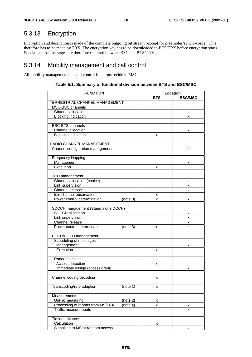### 5.3.13 Encryption

Encryption and decryption is made of the complete outgoing bit stream (except for preambles/synch words). This therefore has to be made by TRX. The encryption key has to be downloaded to BTS/TRX before encryption starts. Special control messages are therefore required between BSC and BTS/TRX.

### 5.3.14 Mobility management and call control

All mobility management and call control functions recide in MSC.

| <b>FUNCTION</b>                                                   |            | Location       |  |  |
|-------------------------------------------------------------------|------------|----------------|--|--|
|                                                                   | <b>BTS</b> | <b>BSC/MSC</b> |  |  |
| TERRESTRIAL CHANNEL MANAGEMENT                                    |            |                |  |  |
| MSC-BSC channels                                                  |            |                |  |  |
| Channel allocation                                                |            | x              |  |  |
| <b>Blocking indication</b>                                        |            | x              |  |  |
|                                                                   |            |                |  |  |
| <b>BSC-BTS</b> channels                                           |            |                |  |  |
| Channel allocation                                                |            | х              |  |  |
| <b>Blocking indication</b>                                        | x          |                |  |  |
|                                                                   |            |                |  |  |
| RADIO CHANNEL MANAGEMENT                                          |            |                |  |  |
| Channel configuration management                                  |            | x              |  |  |
|                                                                   |            |                |  |  |
| <b>Frequency Hopping</b>                                          |            |                |  |  |
| Management                                                        |            | x              |  |  |
| Execution                                                         | x          |                |  |  |
|                                                                   |            |                |  |  |
| <b>TCH management</b>                                             |            |                |  |  |
| Channel allocation (choice)                                       |            | x              |  |  |
| Link supervision                                                  |            | x              |  |  |
| Channel release                                                   |            | x              |  |  |
| Idle channel observation                                          | x          |                |  |  |
| Power control determination<br>(note 3)                           | x          | x              |  |  |
|                                                                   |            |                |  |  |
| SDCCH management (Stand alone DCCH)                               |            |                |  |  |
| <b>SDCCH</b> allocation                                           |            | х              |  |  |
| Link supervision                                                  |            | x              |  |  |
| Channel release                                                   |            | x              |  |  |
| Power control determination<br>(note 3)                           | x          | x              |  |  |
|                                                                   |            |                |  |  |
| <b>BCCH/CCCH</b> management                                       |            |                |  |  |
| Scheduling of messages                                            |            |                |  |  |
| Management                                                        |            | x              |  |  |
| Execution                                                         | х          |                |  |  |
|                                                                   |            |                |  |  |
| Random access                                                     |            |                |  |  |
| Access detection                                                  | x          |                |  |  |
| Immediate assign (access grant)                                   |            | x              |  |  |
|                                                                   |            |                |  |  |
| Channel coding/decoding                                           | Χ          |                |  |  |
|                                                                   |            |                |  |  |
| Transcoding/rate adaption<br>(note 1)                             | x          |                |  |  |
|                                                                   |            |                |  |  |
| Measurements                                                      |            |                |  |  |
| Uplink measuring<br>(note 2)                                      | x          |                |  |  |
| Processing of reports from MS/TRX<br>$\overline{(\text{note 4})}$ | x          | х              |  |  |
| <b>Traffic measurements</b>                                       |            | x              |  |  |
|                                                                   |            |                |  |  |
| Timing advance                                                    |            |                |  |  |
| Calculation                                                       | x          |                |  |  |
| Signalling to MS at random access                                 |            | x              |  |  |

#### **Table 5.1: Summary of functional division between BTS and BSC/MSC**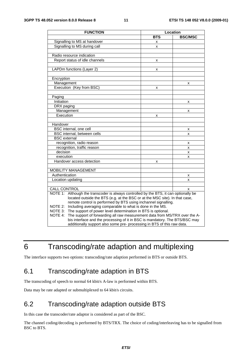| <b>FUNCTION</b>                                                                          | Location   |                |  |  |
|------------------------------------------------------------------------------------------|------------|----------------|--|--|
|                                                                                          | <b>BTS</b> | <b>BSC/MSC</b> |  |  |
| Signalling to MS at handover                                                             | x          |                |  |  |
| Signalling to MS during call                                                             | x          |                |  |  |
|                                                                                          |            |                |  |  |
| Radio resource indication                                                                |            |                |  |  |
| Report status of idle channels                                                           | x          |                |  |  |
|                                                                                          |            |                |  |  |
| LAPDm functions (Layer 2)                                                                | x          |                |  |  |
|                                                                                          |            |                |  |  |
| Encryption                                                                               |            |                |  |  |
| Management                                                                               |            | X              |  |  |
| Execution (Key from BSC)                                                                 | x          |                |  |  |
|                                                                                          |            |                |  |  |
| Paging                                                                                   |            |                |  |  |
| Initiation                                                                               |            | x              |  |  |
| DRX paging                                                                               |            |                |  |  |
| Management                                                                               |            | x              |  |  |
| Execution                                                                                | x          |                |  |  |
|                                                                                          |            |                |  |  |
| Handover                                                                                 |            |                |  |  |
| BSC internal, one cell                                                                   |            | x              |  |  |
| BSC internal, between cells                                                              |            | X              |  |  |
| <b>BSC</b> external                                                                      |            |                |  |  |
| recognition, radio reason                                                                |            | x              |  |  |
| recognition, traffic reason                                                              |            | X              |  |  |
| decision                                                                                 |            | X              |  |  |
| execution                                                                                |            | x              |  |  |
| Handover access detection                                                                | x          |                |  |  |
|                                                                                          |            |                |  |  |
| <b>MOBILITY MANAGEMENT</b>                                                               |            |                |  |  |
| Authentication                                                                           |            | x              |  |  |
| Location updating                                                                        |            | x              |  |  |
|                                                                                          |            |                |  |  |
| <b>CALL CONTROL</b>                                                                      |            | X              |  |  |
| NOTE 1:<br>Although the transcoder is always controlled by the BTS, it can optionally be |            |                |  |  |
| located outside the BTS (e.g. at the BSC or at the MSC site). In that case,              |            |                |  |  |
| remote control is performed by BTS using inchannel signalling.                           |            |                |  |  |
| Including averaging comparable to what is done in the MS.<br>NOTE 2:                     |            |                |  |  |
| The support of power level determination in BTS is optional.<br>NOTE 3:                  |            |                |  |  |
| NOTE 4:<br>The support of forwarding all raw measurement data from MS/TRX over the A-    |            |                |  |  |
| bis interface and the processing of it in BSC is mandatory. The BTS/BSC may              |            |                |  |  |
| additionally support also some pre- processing in BTS of this raw data.                  |            |                |  |  |

### 6 Transcoding/rate adaption and multiplexing

The interface supports two options: transcoding/rate adaption performed in BTS or outside BTS.

### 6.1 Transcoding/rate adaption in BTS

The transcoding of speech to normal 64 kbit/s A-law is performed within BTS.

Data may be rate adapted or submultiplexed to 64 kbit/s circuits.

### 6.2 Transcoding/rate adaption outside BTS

In this case the transcoder/rate adaptor is considered as part of the BSC.

The channel coding/decoding is performed by BTS/TRX. The choice of coding/interleaving has to be signalled from BSC to BTS.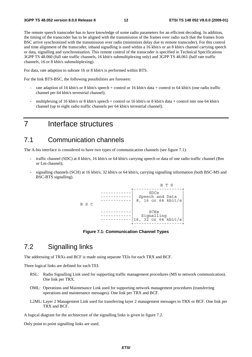The remote speech transcoder has to have knowledge of some radio parameters for an efficient decoding. In addition, the timing of the transcoder has to be aligned with the transmission of the frames over radio such that the frames from BSC arrive synchronized with the transmission over radio (minimizes delay due to remote transcoder). For this control and time alignment of the transcoder, inband signalling is used within a 16 kbit/s or an 8 kbit/s channel carrying speech or data, signalling and synchronisation. This remote control of the transcoder is specified in Technical Specifications 3GPP TS 48.060 (full rate traffic channels, 16 kbit/s submultiplexing only) and 3GPP TS 48.061 (half rate traffic channels, 16 or 8 kbit/s submultiplexing).

For data, rate adaption to subrate 16 or 8 kbit/s is performed within BTS.

For the link BTS-BSC, the following possibilities are foreseen:

- rate adaption of 16 kbit/s or 8 kbit/s speech + control or 16 kbit/s data + control to 64 kbit/s (one radio traffic channel per 64 kbit/s terrestrial channel);
- multiplexing of 16 kbit/s or 8 kbit/s speech + control or 16 kbit/s or 8 kbit/s data + control into one 64 kbit/s channel (up to eight radio traffic channels per 64 kbit/s terrestrial channel).

### 7 Interface structures

#### 7.1 Communication channels

The A-bis interface is considered to have two types of communication channels (see figure 7.1):

- traffic channel (SDC) at 8 kbit/s, 16 kbit/s or 64 kbit/s carrying speech or data of one radio traffic channel (Bm or Lm channel);
- signalling channels (SCH) at 16 kbit/s, 32 kbit/s or 64 kbit/s, carrying signalling information (both BSC-MS and BSC-BTS signalling).



**Figure 7.1: Communication Channel Types** 

### 7.2 Signalling links

The addressing of TRXs and BCF is made using separate TEIs for each TRX and BCF.

Three logical links are defined for each TEI:

- RSL: Radio Signalling Link used for supporting traffic management procedures (MS to network communication). One link per TRX.
- OML: Operations and Maintenance Link used for supporting network management procedures (transferring operations and maintenance messages). One link per TRX and BCF.
- L2ML: Layer 2 Management Link used for transferring layer 2 management messages to TRX or BCF. One link per TRX and BCF.

A logical diagram for the architecture of the signalling links is given in figure 7.2.

Only point to point signalling links are used.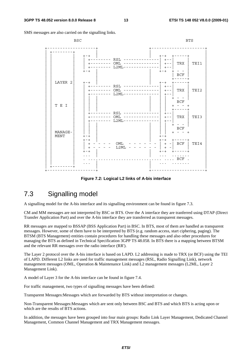SMS messages are also carried on the signalling links.

| <b>BSC</b>             |                                                                                                                        | <b>BTS</b>                                                                                               |
|------------------------|------------------------------------------------------------------------------------------------------------------------|----------------------------------------------------------------------------------------------------------|
|                        | $+ - +$<br>+-------- RSL -------<br>+-------- OML --------------  +-- <br>$L2ML------$<br>$+ - - - - - - - -$<br>$+-+$ | $+ - +$<br>$+ - -$<br>TRX<br>TEI1<br>-----  +--<br>$+ - +$<br>BCF                                        |
| LAYER 2                | $+-+$<br>$RSL$ ------<br>$OML$ --------------<br>$L2ML - -$                                                            | $+ - +$<br>$+--$<br>TRX<br>TEI2<br>$+ - -$<br>$+ - -$                                                    |
| T E I                  | RSL ------<br>$OML$ --------------<br>--------<br>$L2ML-----$                                                          | <b>BCF</b><br>$ -$<br>$+ - - - - \cdot$<br>$+ - -$<br>TRX  <br>TEI3<br>$+ - -$                           |
| MANAGE-<br><b>MENT</b> | $+-+$<br>$+-+$<br>OML<br>$\begin{array}{c} + \end{array}$<br>L2ML<br>- - - - - -<br>$+$<br>$+-+$                       | <b>BCF</b><br>$+ - - +$<br>$+-+$<br>$+ - +$<br>キーーーーーキ<br>BCF<br>TEI4<br>$+ -$<br>$\,$ + $\,$<br>$+ - +$ |
|                        |                                                                                                                        | $\ldots$ BCF                                                                                             |

**Figure 7.2: Logical L2 links of A-bis interface** 

### 7.3 Signalling model

A signalling model for the A-bis interface and its signalling environment can be found in figure 7.3.

CM and MM messages are not interpreted by BSC or BTS. Over the A interface they are tranferred using DTAP (Direct Transfer Application Part) and over the A-bis interface they are transferred as transparent messages.

RR messages are mapped to BSSAP (BSS Application Part) in BSC. In BTS, most of them are handled as transparent messages. However, some of them have to be interpreted by BTS (e.g. random access, start ciphering, paging). The BTSM (BTS Management) entities contain procedures for handling these messages and also other procedures for managing the BTS as defined in Technical Specification 3GPP TS 48.058. In BTS there is a mapping between BTSM and the relevant RR messages over the radio interface (RR').

The Layer 2 protocol over the A-bis interface is based on LAPD. L2 addressing is made to TRX (or BCF) using the TEI of LAPD. Different L2 links are used for traffic management messages (RSL, Radio Signalling Link), network management messages (OML, Operation & Maintenance Link) and L2 management messages (L2ML, Layer 2 Management Link).

A model of Layer 3 for the A-bis interface can be found in figure 7.4.

For traffic management, two types of signalling messages have been defined:

Transparent Messages:Messages which are forwarded by BTS without interpretation or changes.

Non-Transparent Messages:Messages which are sent only between BSC and BTS and which BTS is acting upon or which are the results of BTS actions.

In addition, the messages have been grouped into four main groups: Radio Link Layer Management, Dedicated Channel Management, Common Channel Management and TRX Management messages.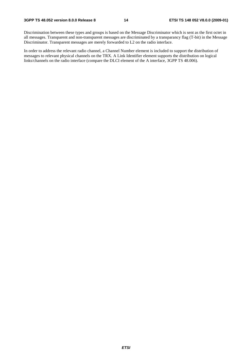Discrimination between these types and groups is based on the Message Discriminator which is sent as the first octet in all messages. Transparent and non-transparent messages are discriminated by a transparancy flag (T-bit) in the Message Discriminator. Transparent messages are merely forwarded to L2 on the radio interface.

In order to address the relevant radio channel, a Channel Number element is included to support the distribution of messages to relevant physical channels on the TRX. A Link Identifier element supports the distribution on logical links/channels on the radio interface (compare the DLCI element of the A interface, 3GPP TS 48.006).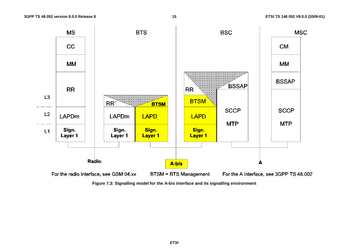

**Figure 7.3: Signalling model for the A-bis interface and its signalling environment**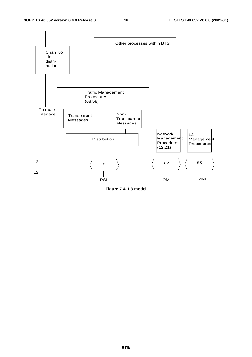

**Figure 7.4: L3 model**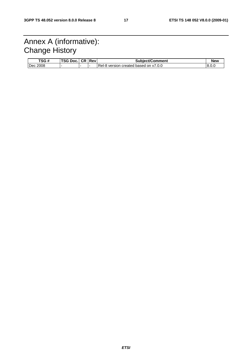### Annex A (informative): Change History

| TSG#               | <b>TSG Doc.</b> | . I CR I Rev | <b>Subiect/Comment</b>                | New    |
|--------------------|-----------------|--------------|---------------------------------------|--------|
| <b>Dec</b><br>2008 |                 |              | Rel-8 version created based on y7.0.0 | 18.0.0 |